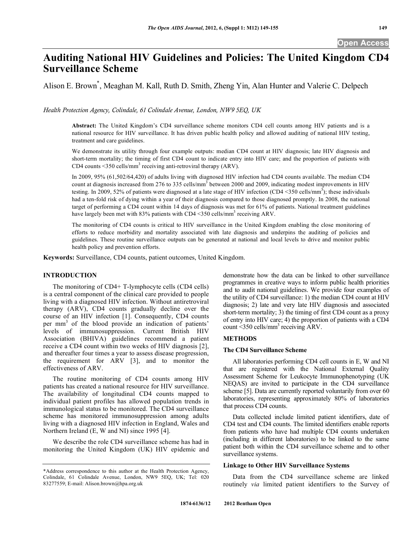# **Auditing National HIV Guidelines and Policies: The United Kingdom CD4 Surveillance Scheme**

Alison E. Brown\* , Meaghan M. Kall, Ruth D. Smith, Zheng Yin, Alan Hunter and Valerie C. Delpech

*Health Protection Agency, Colindale, 61 Colindale Avenue, London, NW9 5EQ, UK* 

**Abstract:** The United Kingdom's CD4 surveillance scheme monitors CD4 cell counts among HIV patients and is a national resource for HIV surveillance. It has driven public health policy and allowed auditing of national HIV testing, treatment and care guidelines.

We demonstrate its utility through four example outputs: median CD4 count at HIV diagnosis; late HIV diagnosis and short-term mortality; the timing of first CD4 count to indicate entry into HIV care; and the proportion of patients with CD4 counts  $\leq$ 350 cells/mm<sup>3</sup> receiving anti-retroviral therapy (ARV).

In 2009, 95% (61,502/64,420) of adults living with diagnosed HIV infection had CD4 counts available. The median CD4 count at diagnosis increased from 276 to 335 cells/mm<sup>3</sup> between 2000 and 2009, indicating modest improvements in HIV testing. In 2009, 52% of patients were diagnosed at a late stage of HIV infection (CD4 <350 cells/mm<sup>3</sup>); these individuals had a ten-fold risk of dying within a year of their diagnosis compared to those diagnosed promptly. In 2008, the national target of performing a CD4 count within 14 days of diagnosis was met for 61% of patients. National treatment guidelines have largely been met with 83% patients with CD4 <350 cells/mm<sup>3</sup> receiving ARV.

The monitoring of CD4 counts is critical to HIV surveillance in the United Kingdom enabling the close monitoring of efforts to reduce morbidity and mortality associated with late diagnosis and underpins the auditing of policies and guidelines. These routine surveillance outputs can be generated at national and local levels to drive and monitor public health policy and prevention efforts.

**Keywords:** Surveillance, CD4 counts, patient outcomes, United Kingdom.

### **INTRODUCTION**

 The monitoring of CD4+ T-lymphocyte cells (CD4 cells) is a central component of the clinical care provided to people living with a diagnosed HIV infection. Without antiretroviral therapy (ARV), CD4 counts gradually decline over the course of an HIV infection [1]. Consequently, CD4 counts per mm<sup>3</sup> of the blood provide an indication of patients' levels of immunosuppression. Current British HIV Association (BHIVA) guidelines recommend a patient receive a CD4 count within two weeks of HIV diagnosis [2], and thereafter four times a year to assess disease progression, the requirement for ARV [3], and to monitor the effectiveness of ARV.

 The routine monitoring of CD4 counts among HIV patients has created a national resource for HIV surveillance. The availability of longitudinal CD4 counts mapped to individual patient profiles has allowed population trends in immunological status to be monitored. The CD4 surveillance scheme has monitored immunosuppression among adults living with a diagnosed HIV infection in England, Wales and Northern Ireland (E, W and NI) since 1995 [4].

 We describe the role CD4 surveillance scheme has had in monitoring the United Kingdom (UK) HIV epidemic and demonstrate how the data can be linked to other surveillance programmes in creative ways to inform public health priorities and to audit national guidelines. We provide four examples of the utility of CD4 surveillance: 1) the median CD4 count at HIV diagnosis; 2) late and very late HIV diagnosis and associated short-term mortality; 3) the timing of first CD4 count as a proxy of entry into HIV care; 4) the proportion of patients with a CD4 count  $\leq$ 350 cells/mm<sup>3</sup> receiving ARV.

# **METHODS**

#### **The CD4 Surveillance Scheme**

 All laboratories performing CD4 cell counts in E, W and NI that are registered with the National External Quality Assessment Scheme for Leukocyte Immunophenotyping (UK NEQAS) are invited to participate in the CD4 surveillance scheme [5]. Data are currently reported voluntarily from over 60 laboratories, representing approximately 80% of laboratories that process CD4 counts.

 Data collected include limited patient identifiers, date of CD4 test and CD4 counts. The limited identifiers enable reports from patients who have had multiple CD4 counts undertaken (including in different laboratories) to be linked to the same patient both within the CD4 surveillance scheme and to other surveillance systems.

# **Linkage to Other HIV Surveillance Systems**

 Data from the CD4 surveillance scheme are linked routinely *via* limited patient identifiers to the Survey of

<sup>\*</sup>Address correspondence to this author at the Health Protection Agency, Colindale, 61 Colindale Avenue, London, NW9 5EQ, UK; Tel: 020 83277559; E-mail: Alison.brown@hpa.org.uk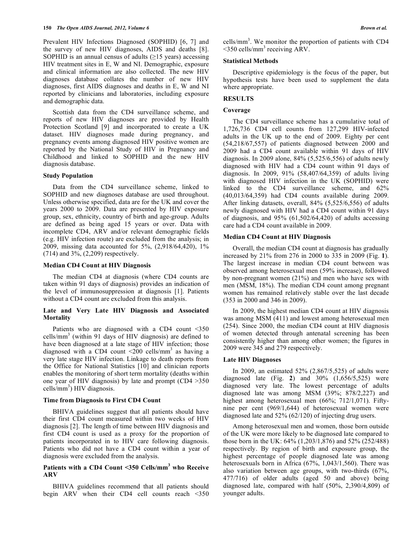Prevalent HIV Infections Diagnosed (SOPHID) [6, 7] and the survey of new HIV diagnoses, AIDS and deaths [8]. SOPHID is an annual census of adults  $(\geq)15$  years) accessing HIV treatment sites in E, W and NI. Demographic, exposure and clinical information are also collected. The new HIV diagnoses database collates the number of new HIV diagnoses, first AIDS diagnoses and deaths in E, W and NI reported by clinicians and laboratories, including exposure and demographic data.

 Scottish data from the CD4 surveillance scheme, and reports of new HIV diagnoses are provided by Health Protection Scotland [9] and incorporated to create a UK dataset. HIV diagnoses made during pregnancy, and pregnancy events among diagnosed HIV positive women are reported by the National Study of HIV in Pregnancy and Childhood and linked to SOPHID and the new HIV diagnosis database.

#### **Study Population**

 Data from the CD4 surveillance scheme, linked to SOPHID and new diagnoses database are used throughout. Unless otherwise specified, data are for the UK and cover the years 2000 to 2009. Data are presented by HIV exposure group, sex, ethnicity, country of birth and age-group. Adults are defined as being aged 15 years or over. Data with incomplete CD4, ARV and/or relevant demographic fields (e.g. HIV infection route) are excluded from the analysis; in 2009, missing data accounted for 5%, (2,918/64,420), 1% (714) and 3%, (2,209) respectively.

### **Median CD4 Count at HIV Diagnosis**

 The median CD4 at diagnosis (where CD4 counts are taken within 91 days of diagnosis) provides an indication of the level of immunosuppression at diagnosis [1]. Patients without a CD4 count are excluded from this analysis.

# **Late and Very Late HIV Diagnosis and Associated Mortality**

 Patients who are diagnosed with a CD4 count <350 cells/mm3 (within 91 days of HIV diagnosis) are defined to have been diagnosed at a late stage of HIV infection; those diagnosed with a CD4 count  $\leq 200$  cells/mm<sup>3</sup> as having a very late stage HIV infection. Linkage to death reports from the Office for National Statistics [10] and clinician reports enables the monitoring of short term mortality (deaths within one year of HIV diagnosis) by late and prompt (CD4 >350  $cells/mm<sup>3</sup>$ ) HIV diagnosis.

## **Time from Diagnosis to First CD4 Count**

 BHIVA guidelines suggest that all patients should have their first CD4 count measured within two weeks of HIV diagnosis [2]. The length of time between HIV diagnosis and first CD4 count is used as a proxy for the proportion of patients incorporated in to HIV care following diagnosis. Patients who did not have a CD4 count within a year of diagnosis were excluded from the analysis.

# Patients with a CD4 Count <350 Cells/mm<sup>3</sup> who Receive **ARV**

 BHIVA guidelines recommend that all patients should begin ARV when their CD4 cell counts reach <350

cells/ $mm<sup>3</sup>$ . We monitor the proportion of patients with CD4  $\leq$ 350 cells/mm<sup>3</sup> receiving ARV.

## **Statistical Methods**

 Descriptive epidemiology is the focus of the paper, but hypothesis tests have been used to supplement the data where appropriate.

# **RESULTS**

## **Coverage**

 The CD4 surveillance scheme has a cumulative total of 1,726,736 CD4 cell counts from 127,299 HIV-infected adults in the UK up to the end of 2009. Eighty per cent (54,218/67,557) of patients diagnosed between 2000 and 2009 had a CD4 count available within 91 days of HIV diagnosis. In 2009 alone, 84% (5,525/6,556) of adults newly diagnosed with HIV had a CD4 count within 91 days of diagnosis. In 2009, 91% (58,407/64,359) of adults living with diagnosed HIV infection in the UK (SOPHID) were linked to the CD4 surveillance scheme, and 62% (40,013/64,359) had CD4 counts available during 2009. After linking datasets, overall, 84% (5,525/6,556) of adults newly diagnosed with HIV had a CD4 count within 91 days of diagnosis, and  $95\%$  (61,502/64,420) of adults accessing care had a CD4 count available in 2009.

# **Median CD4 Count at HIV Diagnosis**

 Overall, the median CD4 count at diagnosis has gradually increased by 21% from 276 in 2000 to 335 in 2009 (Fig. **1**). The largest increase in median CD4 count between was observed among heterosexual men (59% increase), followed by non-pregnant women (21%) and men who have sex with men (MSM, 18%). The median CD4 count among pregnant women has remained relatively stable over the last decade (353 in 2000 and 346 in 2009).

 In 2009, the highest median CD4 count at HIV diagnosis was among MSM (411) and lowest among heterosexual men (254). Since 2000, the median CD4 count at HIV diagnosis of women detected through antenatal screening has been consistently higher than among other women; the figures in 2009 were 345 and 279 respectively.

# **Late HIV Diagnoses**

 In 2009, an estimated 52% (2,867/5,525) of adults were diagnosed late (Fig. **2**) and 30% (1,656/5,525) were diagnosed very late. The lowest percentage of adults diagnosed late was among MSM (39%; 878/2,227) and highest among heterosexual men (66%; 712/1,071). Fiftynine per cent (969/1,644) of heterosexual women were diagnosed late and 52% (62/120) of injecting drug users.

 Among heterosexual men and women, those born outside of the UK were more likely to be diagnosed late compared to those born in the UK: 64% (1,203/1,876) and 52% (252/488) respectively. By region of birth and exposure group, the highest percentage of people diagnosed late was among heterosexuals born in Africa (67%, 1,043/1,560). There was also variation between age groups, with two-thirds (67%, 477/716) of older adults (aged 50 and above) being diagnosed late, compared with half (50%, 2,390/4,809) of younger adults.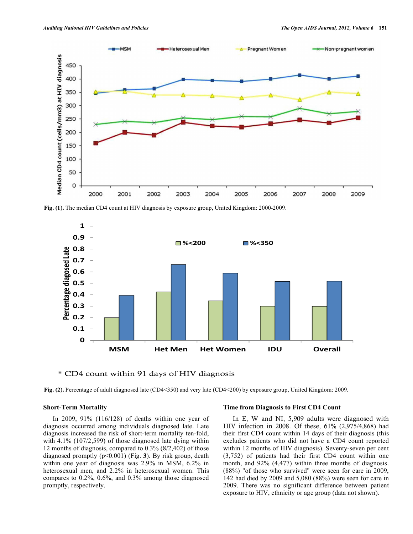

**Fig. (1).** The median CD4 count at HIV diagnosis by exposure group, United Kingdom: 2000-2009.



\* CD4 count within 91 days of HIV diagnosis

**Fig. (2).** Percentage of adult diagnosed late (CD4<350) and very late (CD4<200) by exposure group, United Kingdom: 2009.

### **Short-Term Mortality**

 In 2009, 91% (116/128) of deaths within one year of diagnosis occurred among individuals diagnosed late. Late diagnosis increased the risk of short-term mortality ten-fold, with 4.1% (107/2,599) of those diagnosed late dying within 12 months of diagnosis, compared to 0.3% (8/2,402) of those diagnosed promptly (p<0.001) (Fig. **3**). By risk group, death within one year of diagnosis was 2.9% in MSM, 6.2% in heterosexual men, and 2.2% in heterosexual women. This compares to 0.2%, 0.6%, and 0.3% among those diagnosed promptly, respectively.

#### **Time from Diagnosis to First CD4 Count**

 In E, W and NI, 5,909 adults were diagnosed with HIV infection in 2008. Of these, 61% (2,975/4,868) had their first CD4 count within 14 days of their diagnosis (this excludes patients who did not have a CD4 count reported within 12 months of HIV diagnosis). Seventy-seven per cent (3,752) of patients had their first CD4 count within one month, and 92% (4,477) within three months of diagnosis. (88%) "of those who survived" were seen for care in 2009, 142 had died by 2009 and 5,080 (88%) were seen for care in 2009. There was no significant difference between patient exposure to HIV, ethnicity or age group (data not shown).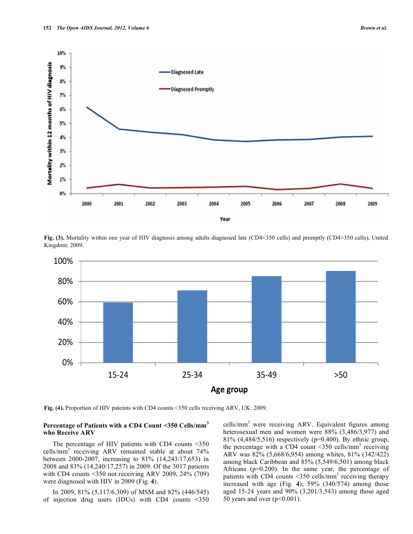

**Fig. (3).** Mortality within one year of HIV diagnosis among adults diagnosed late (CD4<350 cells) and promptly (CD4>350 cells), United Kingdom: 2009.



**Fig. (4).** Proportion of HIV pateints with CD4 counts <350 cells receiving ARV, UK: 2009.

## **Percentage of Patients with a CD4 Count <350 Cells/mm<sup>3</sup> who Receive ARV**

 The percentage of HIV patients with CD4 counts <350 cells/mm3 receiving ARV remained stable at about 74% between 2000-2007, increasing to 81% (14,243/17,653) in 2008 and 83% (14,240/17,257) in 2009. Of the 3017 patients with CD4 counts <350 not receiving ARV 2009, 24% (709) were diagnosed with HIV in 2009 (Fig. **4**).

 In 2009, 81% (5,117/6,309) of MSM and 82% (446/545) of injection drug users (IDUs) with CD4 counts <350

cells/mm<sup>3</sup> were receiving ARV. Equivalent figures among heterosexual men and women were 88% (3,486/3,977) and 81% (4,484/5,516) respectively (p=0.400). By ethnic group, the percentage with a CD4 count <350 cells/mm<sup>3</sup> receiving ARV was 82% (5,668/6,954) among whites, 81% (342/422) among black Caribbean and 85% (5,549/6,501) among black Africans ( $p=0.200$ ). In the same year, the percentage of patients with CD4 counts  $\leq$ 350 cells/mm<sup>3</sup> receiving therapy increased with age (Fig. **4**); 59% (340/574) among those aged 15-24 years and 90% (3,201/3,543) among those aged 50 years and over  $(p<0.001)$ .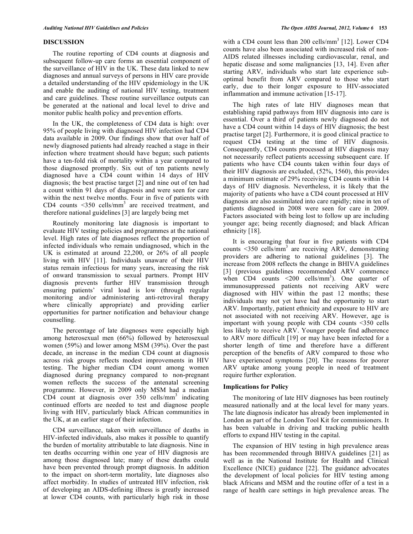#### **DISCUSSION**

 The routine reporting of CD4 counts at diagnosis and subsequent follow-up care forms an essential component of the surveillance of HIV in the UK. These data linked to new diagnoses and annual surveys of persons in HIV care provide a detailed understanding of the HIV epidemiology in the UK and enable the auditing of national HIV testing, treatment and care guidelines. These routine surveillance outputs can be generated at the national and local level to drive and monitor public health policy and prevention efforts.

 In the UK, the completeness of CD4 data is high: over 95% of people living with diagnosed HIV infection had CD4 data available in 2009. Our findings show that over half of newly diagnosed patients had already reached a stage in their infection where treatment should have begun; such patients have a ten-fold risk of mortality within a year compared to those diagnosed promptly. Six out of ten patients newly diagnosed have a CD4 count within 14 days of HIV diagnosis; the best practise target [2] and nine out of ten had a count within 91 days of diagnosis and were seen for care within the next twelve months. Four in five of patients with CD4 counts  $\leq$ 350 cells/mm<sup>3</sup> are received treatment, and therefore national guidelines [3] are largely being met

 Routinely monitoring late diagnosis is important to evaluate HIV testing policies and programmes at the national level. High rates of late diagnoses reflect the proportion of infected individuals who remain undiagnosed, which in the UK is estimated at around 22,200, or 26% of all people living with HIV [11]. Individuals unaware of their HIV status remain infectious for many years, increasing the risk of onward transmission to sexual partners. Prompt HIV diagnosis prevents further HIV transmission through ensuring patients' viral load is low (through regular monitoring and/or administering anti-retroviral therapy where clinically appropriate) and providing earlier opportunities for partner notification and behaviour change counselling.

 The percentage of late diagnoses were especially high among heterosexual men (66%) followed by heterosexual women (59%) and lower among MSM (39%). Over the past decade, an increase in the median CD4 count at diagnosis across risk groups reflects modest improvements in HIV testing. The higher median CD4 count among women diagnosed during pregnancy compared to non-pregnant women reflects the success of the antenatal screening programme. However, in 2009 only MSM had a median CD4 count at diagnosis over  $350$  cells/mm<sup>3</sup> indicating continued efforts are needed to test and diagnose people living with HIV, particularly black African communities in the UK, at an earlier stage of their infection.

 CD4 surveillance, taken with surveillance of deaths in HIV-infected individuals, also makes it possible to quantify the burden of mortality attributable to late diagnosis. Nine in ten deaths occurring within one year of HIV diagnosis are among those diagnosed late; many of these deaths could have been prevented through prompt diagnosis. In addition to the impact on short-term mortality, late diagnoses also affect morbidity. In studies of untreated HIV infection, risk of developing an AIDS-defining illness is greatly increased at lower CD4 counts, with particularly high risk in those

with a CD4 count less than 200 cells/ $mm<sup>3</sup>$  [12]. Lower CD4 counts have also been associated with increased risk of non-AIDS related illnesses including cardiovascular, renal, and hepatic disease and some malignancies [13, 14]. Even after starting ARV, individuals who start late experience suboptimal benefit from ARV compared to those who start early, due to their longer exposure to HIV-associated inflammation and immune activation [15-17].

 The high rates of late HIV diagnoses mean that establishing rapid pathways from HIV diagnosis into care is essential. Over a third of patients newly diagnosed do not have a CD4 count within 14 days of HIV diagnosis; the best practise target [2]. Furthermore, it is good clinical practice to request CD4 testing at the time of HIV diagnosis. Consequently, CD4 counts processed at HIV diagnosis may not necessarily reflect patients accessing subsequent care. If patients who have CD4 counts taken within four days of their HIV diagnosis are excluded, (52%, 1560), this provides a minimum estimate of 29% receiving CD4 counts within 14 days of HIV diagnosis. Nevertheless, it is likely that the majority of patients who have a CD4 count processed at HIV diagnosis are also assimilated into care rapidly; nine in ten of patients diagnosed in 2008 were seen for care in 2009. Factors associated with being lost to follow up are including younger age; being recently diagnosed; and black African ethnicity [18].

 It is encouraging that four in five patients with CD4 counts <350 cells/ $\text{mm}^3$  are receiving ARV, demonstrating providers are adhering to national guidelines [3]. The increase from 2008 reflects the change in BHIVA guidelines [3] (previous guidelines recommended ARV commence when  $CD4$  counts  $\leq 200$  cells/mm<sup>3</sup>). One quarter of immunosuppressed patients not receiving ARV were diagnosed with HIV within the past 12 months; these individuals may not yet have had the opportunity to start ARV. Importantly, patient ethnicity and exposure to HIV are not associated with not receiving ARV. However, age is important with young people with CD4 counts <350 cells less likely to receive ARV. Younger people find adherence to ARV more difficult [19] or may have been infected for a shorter length of time and therefore have a different perception of the benefits of ARV compared to those who have experienced symptoms [20]. The reasons for poorer ARV uptake among young people in need of treatment require further exploration.

## **Implications for Policy**

 The monitoring of late HIV diagnoses has been routinely measured nationally and at the local level for many years. The late diagnosis indicator has already been implemented in London as part of the London Tool Kit for commissioners. It has been valuable in driving and tracking public health efforts to expand HIV testing in the capital.

 The expansion of HIV testing in high prevalence areas has been recommended through BHIVA guidelines [21] as well as in the National Institute for Health and Clinical Excellence (NICE) guidance [22]. The guidance advocates the development of local policies for HIV testing among black Africans and MSM and the routine offer of a test in a range of health care settings in high prevalence areas. The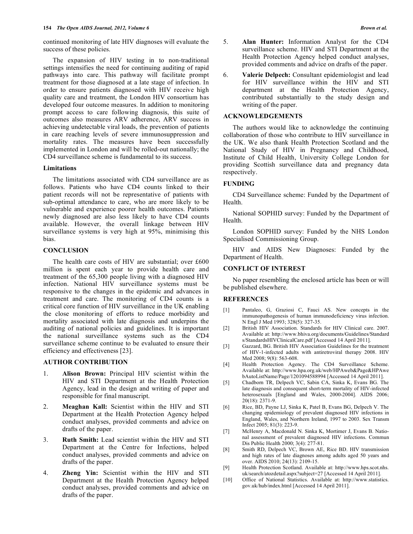continued monitoring of late HIV diagnoses will evaluate the success of these policies.

 The expansion of HIV testing in to non-traditional settings intensifies the need for continuing auditing of rapid pathways into care. This pathway will facilitate prompt treatment for those diagnosed at a late stage of infection. In order to ensure patients diagnosed with HIV receive high quality care and treatment, the London HIV consortium has developed four outcome measures. In addition to monitoring prompt access to care following diagnosis, this suite of outcomes also measures ARV adherence, ARV success in achieving undetectable viral loads, the prevention of patients in care reaching levels of severe immunosuppression and mortality rates. The measures have been successfully implemented in London and will be rolled-out nationally; the CD4 surveillance scheme is fundamental to its success.

## **Limitations**

 The limitations associated with CD4 surveillance are as follows. Patients who have CD4 counts linked to their patient records will not be representative of patients with sub-optimal attendance to care, who are more likely to be vulnerable and experience poorer health outcomes. Patients newly diagnosed are also less likely to have CD4 counts available. However, the overall linkage between HIV surveillance systems is very high at 95%, minimising this bias.

## **CONCLUSION**

 The health care costs of HIV are substantial; over £600 million is spent each year to provide health care and treatment of the 65,300 people living with a diagnosed HIV infection. National HIV surveillance systems must be responsive to the changes in the epidemic and advances in treatment and care. The monitoring of CD4 counts is a critical core function of HIV surveillance in the UK enabling the close monitoring of efforts to reduce morbidity and mortality associated with late diagnosis and underpins the auditing of national policies and guidelines. It is important the national surveillance systems such as the CD4 surveillance scheme continue to be evaluated to ensure their efficiency and effectiveness [23].

## **AUTHOR CONTRIBUTION**

- 1. **Alison Brown:** Principal HIV scientist within the HIV and STI Department at the Health Protection Agency, lead in the design and writing of paper and responsible for final manuscript.
- 2. **Meaghan Kall:** Scientist within the HIV and STI Department at the Health Protection Agency helped conduct analyses, provided comments and advice on drafts of the paper.
- 3. **Ruth Smith:** Lead scientist within the HIV and STI Department at the Centre for Infections, helped conduct analyses, provided comments and advice on drafts of the paper.
- 4. **Zheng Yin:** Scientist within the HIV and STI Department at the Health Protection Agency helped conduct analyses, provided comments and advice on drafts of the paper.
- 5. **Alan Hunter:** Information Analyst for the CD4 surveillance scheme. HIV and STI Department at the Health Protection Agency helped conduct analyses, provided comments and advice on drafts of the paper.
- 6. **Valerie Delpech:** Consultant epidemiologist and lead for HIV surveillance within the HIV and STI department at the Health Protection Agency, contributed substantially to the study design and writing of the paper.

## **ACKNOWLEDGEMENTS**

 The authors would like to acknowledge the continuing collaboration of those who contribute to HIV surveillance in the UK. We also thank Health Protection Scotland and the National Study of HIV in Pregnancy and Childhood, Institute of Child Health, University College London for providing Scottish surveillance data and pregnancy data respectively.

#### **FUNDING**

 CD4 Surveillance scheme: Funded by the Department of Health.

 National SOPHID survey: Funded by the Department of Health.

 London SOPHID survey: Funded by the NHS London Specialised Commissioning Group.

 HIV and AIDS New Diagnoses: Funded by the Department of Health.

## **CONFLICT OF INTEREST**

 No paper resembling the enclosed article has been or will be published elsewhere.

# **REFERENCES**

- [1] Pantaleo, G, Graziosi C, Fauci AS. New concepts in the immunopathogenesis of human immunodeficiency virus infection. N Engl J Med 1993; 328(5): 327-35.
- [2] British HIV Association. Standards for HIV Clinical care. 2007. Available at: http://www.bhiva.org/documents/Guidelines/Standard s/StandardsHIVClinicalCare.pdf [Accessed 14 April 2011].
- [3] Gazzard, BG. British HIV Association Guidelines for the treatment of HIV-1-infected adults with antiretroviral therapy 2008. HIV Med 2008; 9(8): 563-608.
- [4] Health Protection Agency. The CD4 Surveillance Scheme. Available at: http://www.hpa.org.uk/web/HPAweb&Page&HPAwe bAutoListName/Page/1201094588994 [Accessed 14 April 2011].
- [5] Chadborn TR, Delpech VC, Sabin CA, Sinka K, Evans BG. The late diagnosis and consequent short-term mortality of HIV-infected heterosexuals [England and Wales, 2000-2004]. AIDS 2006; 20(18): 2371-9.
- [6] Rice, BD, Payne LJ, Sinka K, Patel B, Evans BG, Delpech V. The changing epidemiology of prevalent diagnosed HIV infections in England, Wales, and Northern Ireland, 1997 to 2003. Sex Transm Infect 2005; 81(3): 223-9.
- [7] McHenry A, Macdonald N. Sinka K, Mortimer J, Evans B. National assessment of prevalent diagnosed HIV infections. Commun Dis Public Health 2000; 3(4): 277-81.
- [8] Smith RD, Delpech VC, Brown AE, Rice BD. HIV transmission and high rates of late diagnoses among adults aged 50 years and over. AIDS 2010; 24(13): 2109-15.
- [9] Health Protection Scotland. Available at: http://www.hps.scot.nhs. uk/search/atozdetail.aspx?subject=27 [Accessed 14 April 2011].
- [10] Office of National Statistics. Available at: http://www.statistics. gov.uk/hub/index.html [Accessed 14 April 2011].